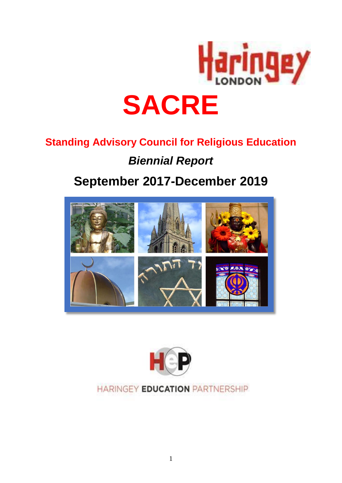

# **Standing Advisory Council for Religious Education**

# *Biennial Report*

# **September 2017-December 2019**





# HARINGEY EDUCATION PARTNERSHIP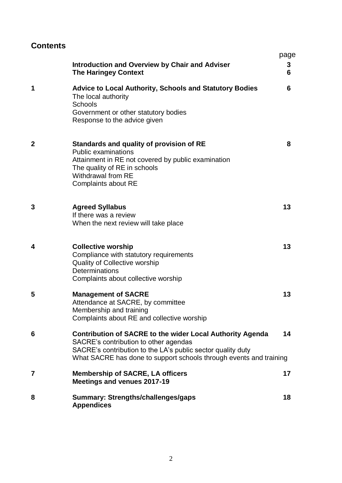# **Contents**

|             | <b>Introduction and Overview by Chair and Adviser</b><br><b>The Haringey Context</b>                                                                                                                                                           | page<br>3<br>6 |
|-------------|------------------------------------------------------------------------------------------------------------------------------------------------------------------------------------------------------------------------------------------------|----------------|
| 1           | <b>Advice to Local Authority, Schools and Statutory Bodies</b><br>The local authority<br><b>Schools</b><br>Government or other statutory bodies<br>Response to the advice given                                                                | 6              |
| $\mathbf 2$ | Standards and quality of provision of RE<br><b>Public examinations</b><br>Attainment in RE not covered by public examination<br>The quality of RE in schools<br>Withdrawal from RE<br><b>Complaints about RE</b>                               | 8              |
| 3           | <b>Agreed Syllabus</b><br>If there was a review<br>When the next review will take place                                                                                                                                                        | 13             |
| 4           | <b>Collective worship</b><br>Compliance with statutory requirements<br><b>Quality of Collective worship</b><br>Determinations<br>Complaints about collective worship                                                                           | 13             |
| 5           | <b>Management of SACRE</b><br>Attendance at SACRE, by committee<br>Membership and training<br>Complaints about RE and collective worship                                                                                                       | 13             |
| 6           | <b>Contribution of SACRE to the wider Local Authority Agenda</b><br>SACRE's contribution to other agendas<br>SACRE's contribution to the LA's public sector quality duty<br>What SACRE has done to support schools through events and training | 14             |
| 7           | <b>Membership of SACRE, LA officers</b><br>Meetings and venues 2017-19                                                                                                                                                                         | 17             |
| 8           | <b>Summary: Strengths/challenges/gaps</b><br><b>Appendices</b>                                                                                                                                                                                 | 18             |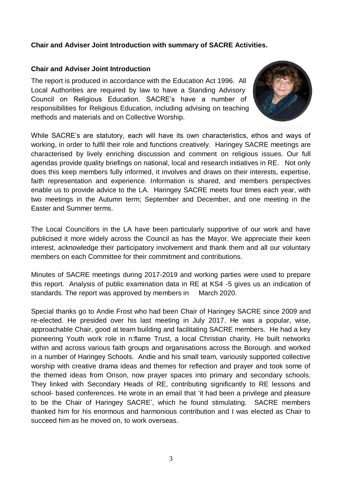#### **Chair and Adviser Joint Introduction with summary of SACRE Activities.**

#### **Chair and Adviser Joint Introduction**

The report is produced in accordance with the Education Act 1996. All Local Authorities are required by law to have a Standing Advisory Council on Religious Education. SACRE's have a number of responsibilities for Religious Education, including advising on teaching methods and materials and on Collective Worship.



While SACRE's are statutory, each will have its own characteristics, ethos and ways of working, in order to fulfil their role and functions creatively. Haringey SACRE meetings are characterised by lively enriching discussion and comment on religious issues. Our full agendas provide quality briefings on national, local and research initiatives in RE. Not only does this keep members fully informed, it involves and draws on their interests, expertise, faith representation and experience. Information is shared, and members perspectives enable us to provide advice to the LA. Haringey SACRE meets four times each year, with two meetings in the Autumn term; September and December, and one meeting in the Easter and Summer terms.

The Local Councillors in the LA have been particularly supportive of our work and have publicised it more widely across the Council as has the Mayor. We appreciate their keen interest, acknowledge their participatory involvement and thank them and all our voluntary members on each Committee for their commitment and contributions.

Minutes of SACRE meetings during 2017-2019 and working parties were used to prepare this report. Analysis of public examination data in RE at KS4 -5 gives us an indication of standards. The report was approved by members in March 2020.

Special thanks go to Andie Frost who had been Chair of Haringey SACRE since 2009 and re-elected. He presided over his last meeting in July 2017. He was a popular, wise, approachable Chair, good at team building and facilitating SACRE members. He had a key pioneering Youth work role in n:flame Trust, a local Christian charity. He built networks within and across various faith groups and organisations across the Borough. and worked in a number of Haringey Schools. Andie and his small team, variously supported collective worship with creative drama ideas and themes for reflection and prayer and took some of the themed ideas from Orison, now prayer spaces into primary and secondary schools. They linked with Secondary Heads of RE, contributing significantly to RE lessons and school- based conferences. He wrote in an email that 'it had been a privilege and pleasure to be the Chair of Haringey SACRE', which he found stimulating. SACRE members thanked him for his enormous and harmonious contribution and I was elected as Chair to succeed him as he moved on, to work overseas.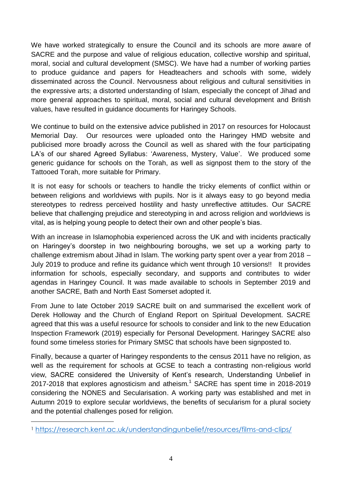We have worked strategically to ensure the Council and its schools are more aware of SACRE and the purpose and value of religious education, collective worship and spiritual, moral, social and cultural development (SMSC). We have had a number of working parties to produce guidance and papers for Headteachers and schools with some, widely disseminated across the Council. Nervousness about religious and cultural sensitivities in the expressive arts; a distorted understanding of Islam, especially the concept of Jihad and more general approaches to spiritual, moral, social and cultural development and British values, have resulted in guidance documents for Haringey Schools.

We continue to build on the extensive advice published in 2017 on resources for Holocaust Memorial Day. Our resources were uploaded onto the Haringey HMD website and publicised more broadly across the Council as well as shared with the four participating LA's of our shared Agreed Syllabus: 'Awareness, Mystery, Value'. We produced some generic guidance for schools on the Torah, as well as signpost them to the story of the Tattooed Torah, more suitable for Primary.

It is not easy for schools or teachers to handle the tricky elements of conflict within or between religions and worldviews with pupils. Nor is it always easy to go beyond media stereotypes to redress perceived hostility and hasty unreflective attitudes. Our SACRE believe that challenging prejudice and stereotyping in and across religion and worldviews is vital, as is helping young people to detect their own and other people's bias.

With an increase in Islamophobia experienced across the UK and with incidents practically on Haringey's doorstep in two neighbouring boroughs, we set up a working party to challenge extremism about Jihad in Islam. The working party spent over a year from 2018 – July 2019 to produce and refine its guidance which went through 10 versions!! It provides information for schools, especially secondary, and supports and contributes to wider agendas in Haringey Council. It was made available to schools in September 2019 and another SACRE, Bath and North East Somerset adopted it.

From June to late October 2019 SACRE built on and summarised the excellent work of Derek Holloway and the Church of England Report on Spiritual Development. SACRE agreed that this was a useful resource for schools to consider and link to the new Education Inspection Framework (2019) especially for Personal Development. Haringey SACRE also found some timeless stories for Primary SMSC that schools have been signposted to.

Finally, because a quarter of Haringey respondents to the census 2011 have no religion, as well as the requirement for schools at GCSE to teach a contrasting non-religious world view, SACRE considered the University of Kent's research, Understanding Unbelief in  $2017-2018$  that explores agnosticism and atheism.<sup>1</sup> SACRE has spent time in 2018-2019 considering the NONES and Secularisation. A working party was established and met in Autumn 2019 to explore secular worldviews, the benefits of secularism for a plural society and the potential challenges posed for religion.

 $\overline{a}$ 

<sup>1</sup> <https://research.kent.ac.uk/understandingunbelief/resources/films-and-clips/>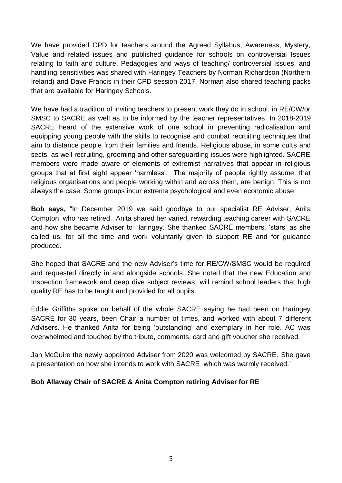We have provided CPD for teachers around the Agreed Syllabus, Awareness, Mystery, Value and related issues and published guidance for schools on controversial Issues relating to faith and culture. Pedagogies and ways of teaching/ controversial issues, and handling sensitivities was shared with Haringey Teachers by Norman Richardson (Northern Ireland) and Dave Francis in their CPD session 2017. Norman also shared teaching packs that are available for Haringey Schools.

We have had a tradition of inviting teachers to present work they do in school, in RE/CW/or SMSC to SACRE as well as to be informed by the teacher representatives. In 2018-2019 SACRE heard of the extensive work of one school in preventing radicalisation and equipping young people with the skills to recognise and combat recruiting techniques that aim to distance people from their families and friends. Religious abuse, in some cults and sects, as well recruiting, grooming and other safeguarding issues were highlighted. SACRE members were made aware of elements of extremist narratives that appear in religious groups that at first sight appear 'harmless'. The majority of people rightly assume, that religious organisations and people working within and across them, are benign. This is not always the case. Some groups incur extreme psychological and even economic abuse.

**Bob says,** "In December 2019 we said goodbye to our specialist RE Adviser, Anita Compton, who has retired. Anita shared her varied, rewarding teaching career with SACRE and how she became Adviser to Haringey. She thanked SACRE members, 'stars' as she called us, for all the time and work voluntarily given to support RE and for guidance produced.

She hoped that SACRE and the new Adviser's time for RE/CW/SMSC would be required and requested directly in and alongside schools. She noted that the new Education and Inspection framework and deep dive subject reviews, will remind school leaders that high quality RE has to be taught and provided for all pupils.

Eddie Griffiths spoke on behalf of the whole SACRE saying he had been on Haringey SACRE for 30 years, been Chair a number of times, and worked with about 7 different Advisers. He thanked Anita for being 'outstanding' and exemplary in her role. AC was overwhelmed and touched by the tribute, comments, card and gift voucher she received.

Jan McGuire the newly appointed Adviser from 2020 was welcomed by SACRE. She gave a presentation on how she intends to work with SACRE which was warmly received."

#### **Bob Allaway Chair of SACRE & Anita Compton retiring Adviser for RE**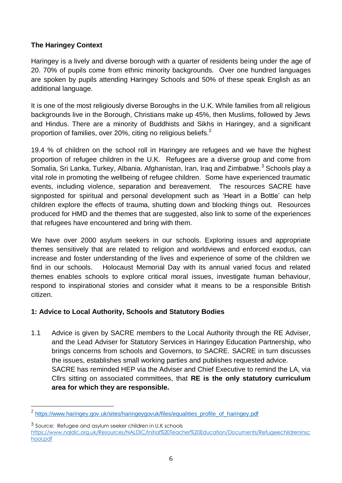### **The Haringey Context**

Haringey is a lively and diverse borough with a quarter of residents being under the age of 20. 70% of pupils come from ethnic minority backgrounds. Over one hundred languages are spoken by pupils attending Haringey Schools and 50% of these speak English as an additional language.

It is one of the most religiously diverse Boroughs in the U.K. While families from all religious backgrounds live in the Borough, Christians make up 45%, then Muslims, followed by Jews and Hindus. There are a minority of Buddhists and Sikhs in Haringey, and a significant proportion of families, over 20%, citing no religious beliefs.<sup>2</sup>

19.4 % of children on the school roll in Haringey are refugees and we have the highest proportion of refugee children in the U.K. Refugees are a diverse group and come from Somalia, Sri Lanka, Turkey, Albania. Afghanistan, Iran, Iraq and Zimbabwe.<sup>3</sup> Schools play a vital role in promoting the wellbeing of refugee children. Some have experienced traumatic events, including violence, separation and bereavement. The resources SACRE have signposted for spiritual and personal development such as 'Heart in a Bottle' can help children explore the effects of trauma, shutting down and blocking things out. Resources produced for HMD and the themes that are suggested, also link to some of the experiences that refugees have encountered and bring with them.

We have over 2000 asylum seekers in our schools. Exploring issues and appropriate themes sensitively that are related to religion and worldviews and enforced exodus, can increase and foster understanding of the lives and experience of some of the children we find in our schools. Holocaust Memorial Day with its annual varied focus and related themes enables schools to explore critical moral issues, investigate human behaviour, respond to inspirational stories and consider what it means to be a responsible British citizen.

#### **1: Advice to Local Authority, Schools and Statutory Bodies**

1.1 Advice is given by SACRE members to the Local Authority through the RE Adviser, and the Lead Adviser for Statutory Services in Haringey Education Partnership, who brings concerns from schools and Governors, to SACRE. SACRE in turn discusses the issues, establishes small working parties and publishes requested advice. SACRE has reminded HEP via the Adviser and Chief Executive to remind the LA, via Cllrs sitting on associated committees, that **RE is the only statutory curriculum area for which they are responsible.** 

 $\overline{a}$ 

<sup>2</sup> [https://www.haringey.gov.uk/sites/haringeygovuk/files/equalities\\_profile\\_of\\_haringey.pdf](https://www.haringey.gov.uk/sites/haringeygovuk/files/equalities_profile_of_haringey.pdf)

<sup>3</sup> Source: Refugee and asylum seeker children in U.K schools

[https://www.naldic.org.uk/Resources/NALDIC/Initial%20Teacher%20Education/Documents/Refugeechildreninsc](https://www.naldic.org.uk/Resources/NALDIC/Initial%20Teacher%20Education/Documents/Refugeechildreninschool.pdf) [hool.pdf](https://www.naldic.org.uk/Resources/NALDIC/Initial%20Teacher%20Education/Documents/Refugeechildreninschool.pdf)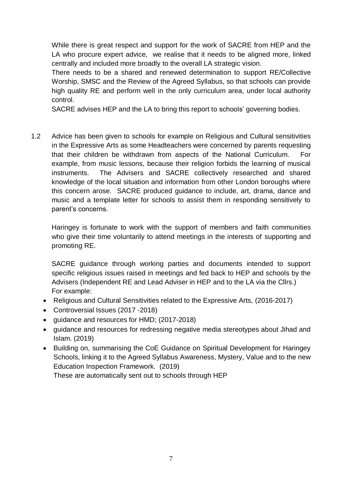While there is great respect and support for the work of SACRE from HEP and the LA who procure expert advice, we realise that it needs to be aligned more, linked centrally and included more broadly to the overall LA strategic vision.

There needs to be a shared and renewed determination to support RE/Collective Worship, SMSC and the Review of the Agreed Syllabus, so that schools can provide high quality RE and perform well in the only curriculum area, under local authority control.

SACRE advises HEP and the LA to bring this report to schools' governing bodies.

1.2 Advice has been given to schools for example on Religious and Cultural sensitivities in the Expressive Arts as some Headteachers were concerned by parents requesting that their children be withdrawn from aspects of the National Curriculum. For example, from music lessons, because their religion forbids the learning of musical instruments. The Advisers and SACRE collectively researched and shared knowledge of the local situation and information from other London boroughs where this concern arose. SACRE produced guidance to include, art, drama, dance and music and a template letter for schools to assist them in responding sensitively to parent's concerns.

Haringey is fortunate to work with the support of members and faith communities who give their time voluntarily to attend meetings in the interests of supporting and promoting RE.

SACRE guidance through working parties and documents intended to support specific religious issues raised in meetings and fed back to HEP and schools by the Advisers (Independent RE and Lead Adviser in HEP and to the LA via the Cllrs.) For example:

- Religious and Cultural Sensitivities related to the Expressive Arts, (2016-2017)
- Controversial Issues (2017 -2018)
- guidance and resources for HMD; (2017-2018)
- guidance and resources for redressing negative media stereotypes about Jihad and Islam. (2019)
- Building on, summarising the CoE Guidance on Spiritual Development for Haringey Schools, linking it to the Agreed Syllabus Awareness, Mystery, Value and to the new Education Inspection Framework. (2019)

These are automatically sent out to schools through HEP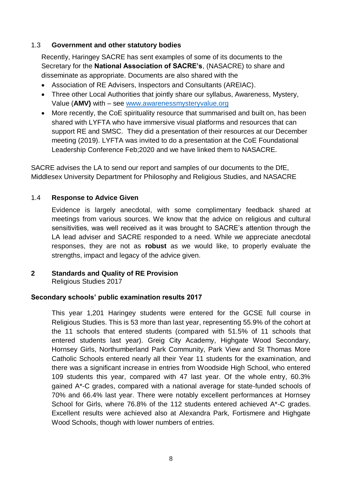#### 1.3 **Government and other statutory bodies**

Recently, Haringey SACRE has sent examples of some of its documents to the Secretary for the **National Association of SACRE's**, (NASACRE) to share and disseminate as appropriate. Documents are also shared with the

- Association of RE Advisers, Inspectors and Consultants (AREIAC).
- Three other Local Authorities that jointly share our syllabus, Awareness, Mystery, Value (**AMV)** with – see [www.awarenessmysteryvalue.org](http://www.awarenessmysteryvalue.org/)
- More recently, the CoE spirituality resource that summarised and built on, has been shared with LYFTA who have immersive visual platforms and resources that can support RE and SMSC. They did a presentation of their resources at our December meeting (2019). LYFTA was invited to do a presentation at the CoE Foundational Leadership Conference Feb;2020 and we have linked them to NASACRE.

SACRE advises the LA to send our report and samples of our documents to the DfE, Middlesex University Department for Philosophy and Religious Studies, and NASACRE

#### 1.4 **Response to Advice Given**

Evidence is largely anecdotal, with some complimentary feedback shared at meetings from various sources. We know that the advice on religious and cultural sensitivities, was well received as it was brought to SACRE's attention through the LA lead adviser and SACRE responded to a need. While we appreciate anecdotal responses, they are not as **robust** as we would like, to properly evaluate the strengths, impact and legacy of the advice given.

#### **2 Standards and Quality of RE Provision**

Religious Studies 2017

#### **Secondary schools' public examination results 2017**

This year 1,201 Haringey students were entered for the GCSE full course in Religious Studies. This is 53 more than last year, representing 55.9% of the cohort at the 11 schools that entered students (compared with 51.5% of 11 schools that entered students last year). Greig City Academy, Highgate Wood Secondary, Hornsey Girls, Northumberland Park Community, Park View and St Thomas More Catholic Schools entered nearly all their Year 11 students for the examination, and there was a significant increase in entries from Woodside High School, who entered 109 students this year, compared with 47 last year. Of the whole entry, 60.3% gained A\*-C grades, compared with a national average for state-funded schools of 70% and 66.4% last year. There were notably excellent performances at Hornsey School for Girls, where 76.8% of the 112 students entered achieved A\*-C grades. Excellent results were achieved also at Alexandra Park, Fortismere and Highgate Wood Schools, though with lower numbers of entries.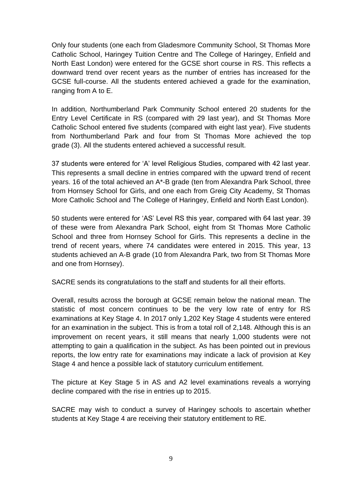Only four students (one each from Gladesmore Community School, St Thomas More Catholic School, Haringey Tuition Centre and The College of Haringey, Enfield and North East London) were entered for the GCSE short course in RS. This reflects a downward trend over recent years as the number of entries has increased for the GCSE full-course. All the students entered achieved a grade for the examination, ranging from A to E.

In addition, Northumberland Park Community School entered 20 students for the Entry Level Certificate in RS (compared with 29 last year), and St Thomas More Catholic School entered five students (compared with eight last year). Five students from Northumberland Park and four from St Thomas More achieved the top grade (3). All the students entered achieved a successful result.

37 students were entered for 'A' level Religious Studies, compared with 42 last year. This represents a small decline in entries compared with the upward trend of recent years. 16 of the total achieved an A\*-B grade (ten from Alexandra Park School, three from Hornsey School for Girls, and one each from Greig City Academy, St Thomas More Catholic School and The College of Haringey, Enfield and North East London).

50 students were entered for 'AS' Level RS this year, compared with 64 last year. 39 of these were from Alexandra Park School, eight from St Thomas More Catholic School and three from Hornsey School for Girls. This represents a decline in the trend of recent years, where 74 candidates were entered in 2015. This year, 13 students achieved an A-B grade (10 from Alexandra Park, two from St Thomas More and one from Hornsey).

SACRE sends its congratulations to the staff and students for all their efforts.

Overall, results across the borough at GCSE remain below the national mean. The statistic of most concern continues to be the very low rate of entry for RS examinations at Key Stage 4. In 2017 only 1,202 Key Stage 4 students were entered for an examination in the subject. This is from a total roll of 2,148. Although this is an improvement on recent years, it still means that nearly 1,000 students were not attempting to gain a qualification in the subject. As has been pointed out in previous reports, the low entry rate for examinations may indicate a lack of provision at Key Stage 4 and hence a possible lack of statutory curriculum entitlement.

The picture at Key Stage 5 in AS and A2 level examinations reveals a worrying decline compared with the rise in entries up to 2015.

SACRE may wish to conduct a survey of Haringey schools to ascertain whether students at Key Stage 4 are receiving their statutory entitlement to RE.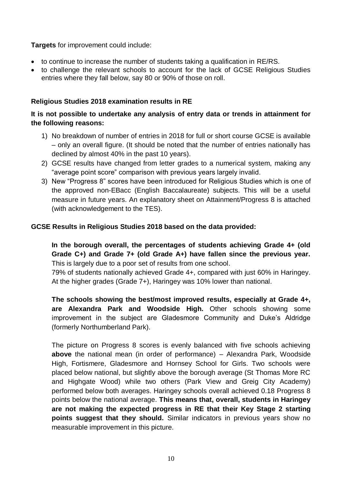**Targets** for improvement could include:

- to continue to increase the number of students taking a qualification in RE/RS.
- to challenge the relevant schools to account for the lack of GCSE Religious Studies entries where they fall below, say 80 or 90% of those on roll.

#### **Religious Studies 2018 examination results in RE**

### **It is not possible to undertake any analysis of entry data or trends in attainment for the following reasons:**

- 1) No breakdown of number of entries in 2018 for full or short course GCSE is available – only an overall figure. (It should be noted that the number of entries nationally has declined by almost 40% in the past 10 years).
- 2) GCSE results have changed from letter grades to a numerical system, making any "average point score" comparison with previous years largely invalid.
- 3) New "Progress 8" scores have been introduced for Religious Studies which is one of the approved non-EBacc (English Baccalaureate) subjects. This will be a useful measure in future years. An explanatory sheet on Attainment/Progress 8 is attached (with acknowledgement to the TES).

#### **GCSE Results in Religious Studies 2018 based on the data provided:**

**In the borough overall, the percentages of students achieving Grade 4+ (old Grade C+) and Grade 7+ (old Grade A+) have fallen since the previous year.** This is largely due to a poor set of results from one school.

79% of students nationally achieved Grade 4+, compared with just 60% in Haringey. At the higher grades (Grade 7+), Haringey was 10% lower than national.

**The schools showing the best/most improved results, especially at Grade 4+, are Alexandra Park and Woodside High.** Other schools showing some improvement in the subject are Gladesmore Community and Duke's Aldridge (formerly Northumberland Park).

The picture on Progress 8 scores is evenly balanced with five schools achieving **above** the national mean (in order of performance) – Alexandra Park, Woodside High, Fortismere, Gladesmore and Hornsey School for Girls. Two schools were placed below national, but slightly above the borough average (St Thomas More RC and Highgate Wood) while two others (Park View and Greig City Academy) performed below both averages. Haringey schools overall achieved 0.18 Progress 8 points below the national average. **This means that, overall, students in Haringey are not making the expected progress in RE that their Key Stage 2 starting points suggest that they should.** Similar indicators in previous years show no measurable improvement in this picture.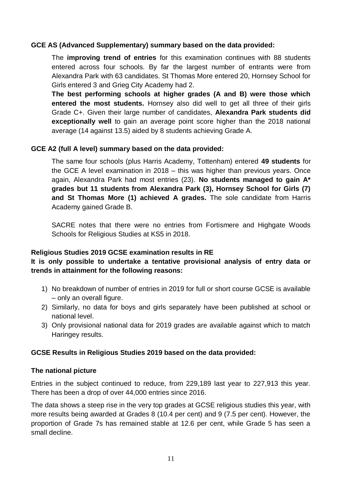#### **GCE AS (Advanced Supplementary) summary based on the data provided:**

The **improving trend of entries** for this examination continues with 88 students entered across four schools. By far the largest number of entrants were from Alexandra Park with 63 candidates. St Thomas More entered 20, Hornsey School for Girls entered 3 and Grieg City Academy had 2.

**The best performing schools at higher grades (A and B) were those which entered the most students.** Hornsey also did well to get all three of their girls Grade C+. Given their large number of candidates, **Alexandra Park students did exceptionally well** to gain an average point score higher than the 2018 national average (14 against 13.5) aided by 8 students achieving Grade A.

#### **GCE A2 (full A level) summary based on the data provided:**

The same four schools (plus Harris Academy, Tottenham) entered **49 students** for the GCE A level examination in 2018 – this was higher than previous years. Once again, Alexandra Park had most entries (23). **No students managed to gain A\* grades but 11 students from Alexandra Park (3), Hornsey School for Girls (7) and St Thomas More (1) achieved A grades.** The sole candidate from Harris Academy gained Grade B.

SACRE notes that there were no entries from Fortismere and Highgate Woods Schools for Religious Studies at KS5 in 2018.

#### **Religious Studies 2019 GCSE examination results in RE**

### **It is only possible to undertake a tentative provisional analysis of entry data or trends in attainment for the following reasons:**

- 1) No breakdown of number of entries in 2019 for full or short course GCSE is available – only an overall figure.
- 2) Similarly, no data for boys and girls separately have been published at school or national level.
- 3) Only provisional national data for 2019 grades are available against which to match Haringey results.

#### **GCSE Results in Religious Studies 2019 based on the data provided:**

#### **The national picture**

Entries in the subject continued to reduce, from 229,189 last year to 227,913 this year. There has been a drop of over 44,000 entries since 2016.

The data shows a steep rise in the very top grades at GCSE religious studies this year, with more results being awarded at Grades 8 (10.4 per cent) and 9 (7.5 per cent). However, the proportion of Grade 7s has remained stable at 12.6 per cent, while Grade 5 has seen a small decline.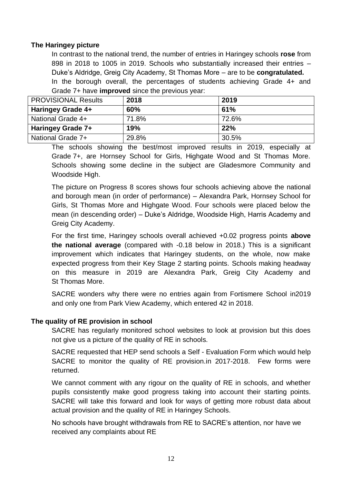#### **The Haringey picture**

In contrast to the national trend, the number of entries in Haringey schools **rose** from 898 in 2018 to 1005 in 2019. Schools who substantially increased their entries – Duke's Aldridge, Greig City Academy, St Thomas More – are to be **congratulated.** In the borough overall, the percentages of students achieving Grade 4+ and Grade 7+ have **improved** since the previous year:

| <b>PROVISIONAL Results</b> | 2018  | 2019  |
|----------------------------|-------|-------|
| <b>Haringey Grade 4+</b>   | 60%   | 61%   |
| National Grade 4+          | 71.8% | 72.6% |
| <b>Haringey Grade 7+</b>   | 19%   | 22%   |
| National Grade 7+          | 29.8% | 30.5% |

The schools showing the best/most improved results in 2019, especially at Grade 7+, are Hornsey School for Girls, Highgate Wood and St Thomas More. Schools showing some decline in the subject are Gladesmore Community and Woodside High.

The picture on Progress 8 scores shows four schools achieving above the national and borough mean (in order of performance) – Alexandra Park, Hornsey School for Girls, St Thomas More and Highgate Wood. Four schools were placed below the mean (in descending order) – Duke's Aldridge, Woodside High, Harris Academy and Greig City Academy.

For the first time, Haringey schools overall achieved +0.02 progress points **above the national average** (compared with -0.18 below in 2018.) This is a significant improvement which indicates that Haringey students, on the whole, now make expected progress from their Key Stage 2 starting points. Schools making headway on this measure in 2019 are Alexandra Park, Greig City Academy and St Thomas More.

SACRE wonders why there were no entries again from Fortismere School in2019 and only one from Park View Academy, which entered 42 in 2018.

#### **The quality of RE provision in school**

SACRE has regularly monitored school websites to look at provision but this does not give us a picture of the quality of RE in schools.

SACRE requested that HEP send schools a Self - Evaluation Form which would help SACRE to monitor the quality of RE provision.in 2017-2018. Few forms were returned.

We cannot comment with any rigour on the quality of RE in schools, and whether pupils consistently make good progress taking into account their starting points. SACRE will take this forward and look for ways of getting more robust data about actual provision and the quality of RE in Haringey Schools.

No schools have brought withdrawals from RE to SACRE's attention, nor have we received any complaints about RE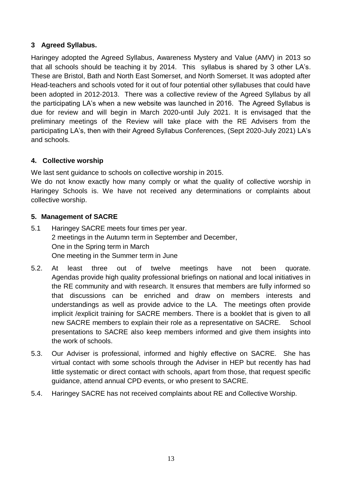## **3 Agreed Syllabus.**

Haringey adopted the Agreed Syllabus, Awareness Mystery and Value (AMV) in 2013 so that all schools should be teaching it by 2014. This syllabus is shared by 3 other LA's. These are Bristol, Bath and North East Somerset, and North Somerset. It was adopted after Head-teachers and schools voted for it out of four potential other syllabuses that could have been adopted in 2012-2013. There was a collective review of the Agreed Syllabus by all the participating LA's when a new website was launched in 2016. The Agreed Syllabus is due for review and will begin in March 2020-until July 2021. It is envisaged that the preliminary meetings of the Review will take place with the RE Advisers from the participating LA's, then with their Agreed Syllabus Conferences, (Sept 2020-July 2021) LA's and schools.

## **4. Collective worship**

We last sent guidance to schools on collective worship in 2015.

We do not know exactly how many comply or what the quality of collective worship in Haringey Schools is. We have not received any determinations or complaints about collective worship.

#### **5. Management of SACRE**

- 5.1 Haringey SACRE meets four times per year. 2 meetings in the Autumn term in September and December, One in the Spring term in March One meeting in the Summer term in June
- 5.2. At least three out of twelve meetings have not been quorate. Agendas provide high quality professional briefings on national and local initiatives in the RE community and with research. It ensures that members are fully informed so that discussions can be enriched and draw on members interests and understandings as well as provide advice to the LA. The meetings often provide implicit /explicit training for SACRE members. There is a booklet that is given to all new SACRE members to explain their role as a representative on SACRE. School presentations to SACRE also keep members informed and give them insights into the work of schools.
- 5.3. Our Adviser is professional, informed and highly effective on SACRE. She has virtual contact with some schools through the Adviser in HEP but recently has had little systematic or direct contact with schools, apart from those, that request specific guidance, attend annual CPD events, or who present to SACRE.
- 5.4. Haringey SACRE has not received complaints about RE and Collective Worship.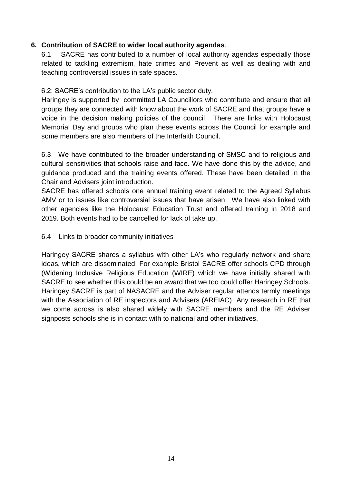#### **6. Contribution of SACRE to wider local authority agendas**.

6.1 SACRE has contributed to a number of local authority agendas especially those related to tackling extremism, hate crimes and Prevent as well as dealing with and teaching controversial issues in safe spaces.

6.2: SACRE's contribution to the LA's public sector duty.

Haringey is supported by committed LA Councillors who contribute and ensure that all groups they are connected with know about the work of SACRE and that groups have a voice in the decision making policies of the council. There are links with Holocaust Memorial Day and groups who plan these events across the Council for example and some members are also members of the Interfaith Council.

6.3 We have contributed to the broader understanding of SMSC and to religious and cultural sensitivities that schools raise and face. We have done this by the advice, and guidance produced and the training events offered. These have been detailed in the Chair and Advisers joint introduction.

SACRE has offered schools one annual training event related to the Agreed Syllabus AMV or to issues like controversial issues that have arisen. We have also linked with other agencies like the Holocaust Education Trust and offered training in 2018 and 2019. Both events had to be cancelled for lack of take up.

#### 6.4 Links to broader community initiatives

Haringey SACRE shares a syllabus with other LA's who regularly network and share ideas, which are disseminated. For example Bristol SACRE offer schools CPD through (Widening Inclusive Religious Education (WIRE) which we have initially shared with SACRE to see whether this could be an award that we too could offer Haringey Schools. Haringey SACRE is part of NASACRE and the Adviser regular attends termly meetings with the Association of RE inspectors and Advisers (AREIAC) Any research in RE that we come across is also shared widely with SACRE members and the RE Adviser signposts schools she is in contact with to national and other initiatives.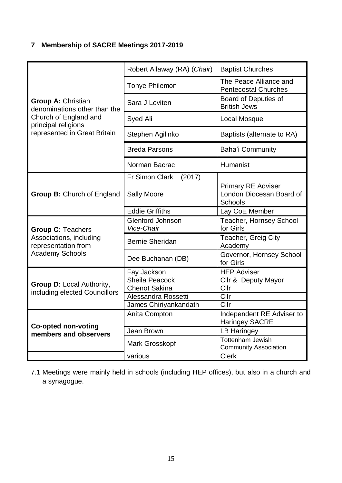# **7 Membership of SACRE Meetings 2017-2019**

|                                                           | Robert Allaway (RA) (Chair)           | <b>Baptist Churches</b>                                          |
|-----------------------------------------------------------|---------------------------------------|------------------------------------------------------------------|
|                                                           | <b>Tonye Philemon</b>                 | The Peace Alliance and<br><b>Pentecostal Churches</b>            |
| <b>Group A: Christian</b><br>denominations other than the | Sara J Leviten                        | <b>Board of Deputies of</b><br><b>British Jews</b>               |
| Church of England and<br>principal religions              | Syed Ali                              | Local Mosque                                                     |
| represented in Great Britain                              | Stephen Agilinko                      | Baptists (alternate to RA)                                       |
|                                                           | <b>Breda Parsons</b>                  | <b>Baha'i Community</b>                                          |
|                                                           | Norman Bacrac                         | Humanist                                                         |
|                                                           | Fr Simon Clark<br>(2017)              |                                                                  |
| <b>Group B: Church of England</b>                         | <b>Sally Moore</b>                    | <b>Primary RE Adviser</b><br>London Diocesan Board of<br>Schools |
|                                                           | <b>Eddie Griffiths</b>                | Lay CoE Member                                                   |
| <b>Group C: Teachers</b>                                  | <b>Glenford Johnson</b><br>Vice-Chair | Teacher, Hornsey School<br>for Girls                             |
| Associations, including<br>representation from            | <b>Bernie Sheridan</b>                | Teacher, Greig City<br>Academy                                   |
| <b>Academy Schools</b>                                    | Dee Buchanan (DB)                     | Governor, Hornsey School<br>for Girls                            |
|                                                           | Fay Jackson                           | <b>HEP Adviser</b>                                               |
|                                                           | <b>Sheila Peacock</b>                 | Cllr & Deputy Mayor                                              |
| <b>Group D: Local Authority,</b>                          | <b>Chenot Sakina</b>                  | Cllr                                                             |
| including elected Councillors                             | Alessandra Rossetti                   | Cllr                                                             |
|                                                           | James Chiriyankandath                 | Cllr                                                             |
| <b>Co-opted non-voting</b>                                | Anita Compton                         | Independent RE Adviser to<br><b>Haringey SACRE</b>               |
| members and observers                                     | Jean Brown                            | <b>LB Haringey</b>                                               |
|                                                           | Mark Grosskopf                        | <b>Tottenham Jewish</b><br><b>Community Association</b>          |
|                                                           | various                               | <b>Clerk</b>                                                     |

7.1 Meetings were mainly held in schools (including HEP offices), but also in a church and a synagogue.